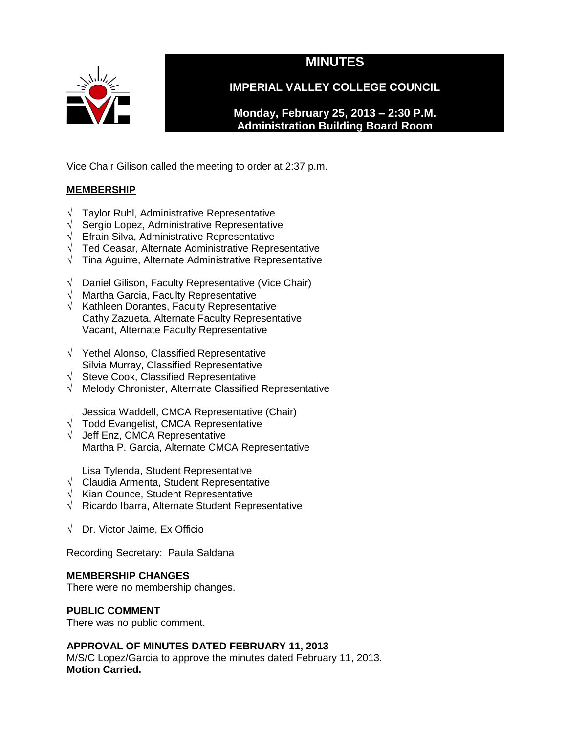

# **MINUTES**

**IMPERIAL VALLEY COLLEGE COUNCIL**

**Monday, February 25, 2013 – 2:30 P.M. Administration Building Board Room** 

Vice Chair Gilison called the meeting to order at 2:37 p.m.

# **MEMBERSHIP**

- $\sqrt{\phantom{a}}$  Taylor Ruhl, Administrative Representative
- √ Sergio Lopez, Administrative Representative
- $\sqrt{\phantom{a}}$  Efrain Silva, Administrative Representative
- √ Ted Ceasar, Alternate Administrative Representative
- √ Tina Aguirre, Alternate Administrative Representative
- √ Daniel Gilison, Faculty Representative (Vice Chair)
- √ Martha Garcia, Faculty Representative
- $\sqrt{\phantom{a}}$  Kathleen Dorantes, Faculty Representative Cathy Zazueta, Alternate Faculty Representative Vacant, Alternate Faculty Representative
- √ Yethel Alonso, Classified Representative Silvia Murray, Classified Representative
- √ Steve Cook, Classified Representative
- √ Melody Chronister, Alternate Classified Representative
	- Jessica Waddell, CMCA Representative (Chair)
- $\sqrt{\phantom{a}}$  Todd Evangelist, CMCA Representative
- √ Jeff Enz, CMCA Representative Martha P. Garcia, Alternate CMCA Representative

Lisa Tylenda, Student Representative

- √ Claudia Armenta, Student Representative
- √ Kian Counce, Student Representative
- √ Ricardo Ibarra, Alternate Student Representative
- √ Dr. Victor Jaime, Ex Officio

Recording Secretary: Paula Saldana

# **MEMBERSHIP CHANGES**

There were no membership changes.

# **PUBLIC COMMENT**

There was no public comment.

# **APPROVAL OF MINUTES DATED FEBRUARY 11, 2013**

M/S/C Lopez/Garcia to approve the minutes dated February 11, 2013. **Motion Carried.**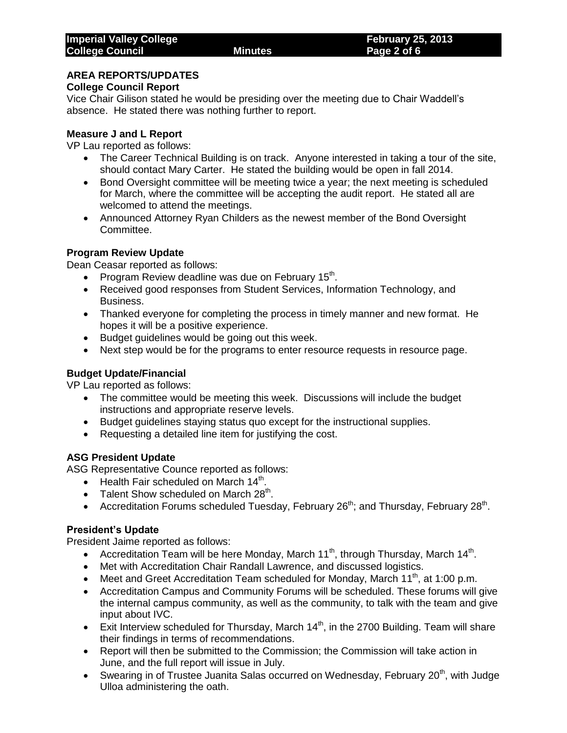# **AREA REPORTS/UPDATES**

# **College Council Report**

Vice Chair Gilison stated he would be presiding over the meeting due to Chair Waddell's absence. He stated there was nothing further to report.

# **Measure J and L Report**

VP Lau reported as follows:

- The Career Technical Building is on track. Anyone interested in taking a tour of the site, should contact Mary Carter. He stated the building would be open in fall 2014.
- Bond Oversight committee will be meeting twice a year; the next meeting is scheduled for March, where the committee will be accepting the audit report. He stated all are welcomed to attend the meetings.
- Announced Attorney Ryan Childers as the newest member of the Bond Oversight Committee.

# **Program Review Update**

Dean Ceasar reported as follows:

- Program Review deadline was due on February 15<sup>th</sup>.
- Received good responses from Student Services, Information Technology, and Business.
- Thanked everyone for completing the process in timely manner and new format. He hopes it will be a positive experience.
- Budget guidelines would be going out this week.
- Next step would be for the programs to enter resource requests in resource page.

# **Budget Update/Financial**

VP Lau reported as follows:

- The committee would be meeting this week. Discussions will include the budget instructions and appropriate reserve levels.
- Budget guidelines staying status quo except for the instructional supplies.
- Requesting a detailed line item for justifying the cost.

# **ASG President Update**

ASG Representative Counce reported as follows:

- Health Fair scheduled on March 14<sup>th</sup>.
- $\bullet$  Talent Show scheduled on March 28<sup>th</sup>.
- Accreditation Forums scheduled Tuesday, February 26<sup>th</sup>; and Thursday, February 28<sup>th</sup>.

# **President's Update**

President Jaime reported as follows:

- Accreditation Team will be here Monday, March 11<sup>th</sup>, through Thursday, March 14<sup>th</sup>.
- Met with Accreditation Chair Randall Lawrence, and discussed logistics.
- Meet and Greet Accreditation Team scheduled for Monday, March 11<sup>th</sup>, at 1:00 p.m.
- Accreditation Campus and Community Forums will be scheduled. These forums will give the internal campus community, as well as the community, to talk with the team and give input about IVC.
- Exit Interview scheduled for Thursday, March  $14<sup>th</sup>$ , in the 2700 Building. Team will share their findings in terms of recommendations.
- Report will then be submitted to the Commission; the Commission will take action in June, and the full report will issue in July.
- Swearing in of Trustee Juanita Salas occurred on Wednesday, February 20<sup>th</sup>, with Judge Ulloa administering the oath.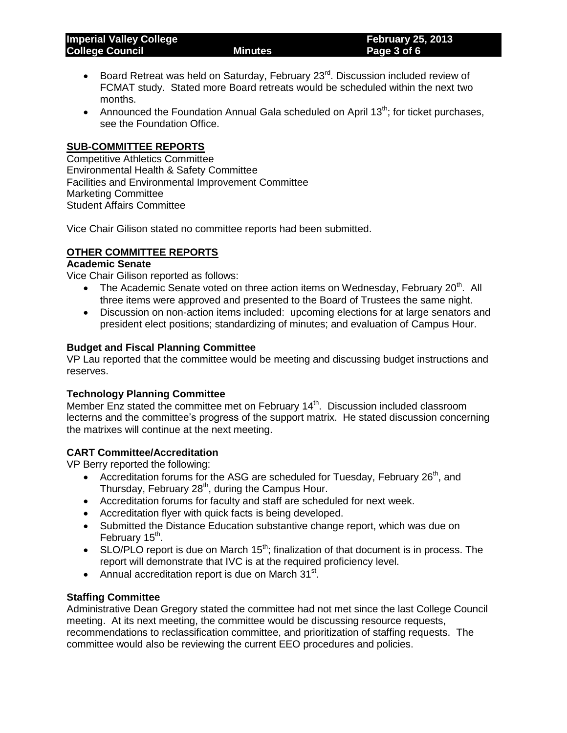- Board Retreat was held on Saturday, February  $23<sup>rd</sup>$ . Discussion included review of FCMAT study. Stated more Board retreats would be scheduled within the next two months.
- Announced the Foundation Annual Gala scheduled on April 13<sup>th</sup>; for ticket purchases, see the Foundation Office.

# **SUB-COMMITTEE REPORTS**

Competitive Athletics Committee Environmental Health & Safety Committee Facilities and Environmental Improvement Committee Marketing Committee Student Affairs Committee

Vice Chair Gilison stated no committee reports had been submitted.

# **OTHER COMMITTEE REPORTS**

#### **Academic Senate**

Vice Chair Gilison reported as follows:

- The Academic Senate voted on three action items on Wednesday, February 20<sup>th</sup>. All three items were approved and presented to the Board of Trustees the same night.
- Discussion on non-action items included: upcoming elections for at large senators and president elect positions; standardizing of minutes; and evaluation of Campus Hour.

# **Budget and Fiscal Planning Committee**

VP Lau reported that the committee would be meeting and discussing budget instructions and reserves.

# **Technology Planning Committee**

Member Enz stated the committee met on February 14<sup>th</sup>. Discussion included classroom lecterns and the committee's progress of the support matrix. He stated discussion concerning the matrixes will continue at the next meeting.

# **CART Committee/Accreditation**

VP Berry reported the following:

- Accreditation forums for the ASG are scheduled for Tuesday, February  $26<sup>th</sup>$ , and Thursday, February  $28<sup>th</sup>$ , during the Campus Hour.
- Accreditation forums for faculty and staff are scheduled for next week.
- Accreditation flyer with quick facts is being developed.
- Submitted the Distance Education substantive change report, which was due on February 15<sup>th</sup>.
- $\bullet$  SLO/PLO report is due on March 15<sup>th</sup>; finalization of that document is in process. The report will demonstrate that IVC is at the required proficiency level.
- Annual accreditation report is due on March  $31^{st}$ .

# **Staffing Committee**

Administrative Dean Gregory stated the committee had not met since the last College Council meeting. At its next meeting, the committee would be discussing resource requests, recommendations to reclassification committee, and prioritization of staffing requests. The committee would also be reviewing the current EEO procedures and policies.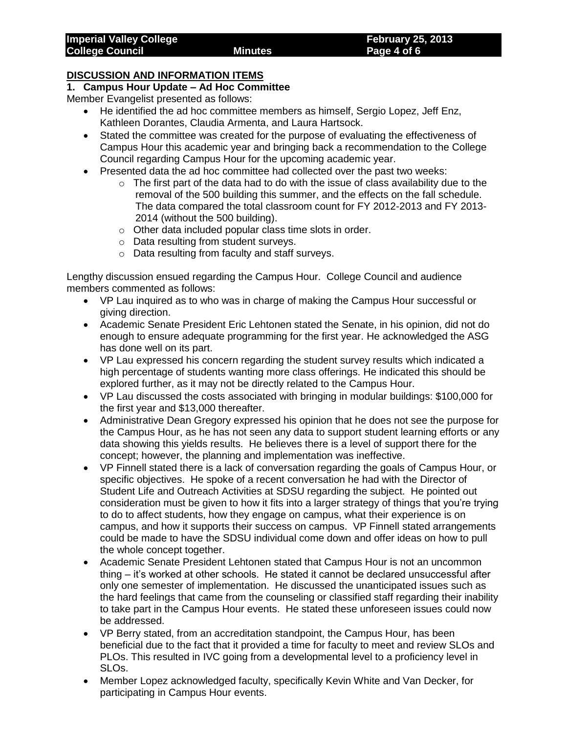# **DISCUSSION AND INFORMATION ITEMS**

# **1. Campus Hour Update – Ad Hoc Committee**

Member Evangelist presented as follows:

- He identified the ad hoc committee members as himself, Sergio Lopez, Jeff Enz, Kathleen Dorantes, Claudia Armenta, and Laura Hartsock.
- Stated the committee was created for the purpose of evaluating the effectiveness of Campus Hour this academic year and bringing back a recommendation to the College Council regarding Campus Hour for the upcoming academic year.
- Presented data the ad hoc committee had collected over the past two weeks:
	- $\circ$  The first part of the data had to do with the issue of class availability due to the removal of the 500 building this summer, and the effects on the fall schedule. The data compared the total classroom count for FY 2012-2013 and FY 2013- 2014 (without the 500 building).
	- o Other data included popular class time slots in order.
	- o Data resulting from student surveys.
	- o Data resulting from faculty and staff surveys.

Lengthy discussion ensued regarding the Campus Hour. College Council and audience members commented as follows:

- VP Lau inquired as to who was in charge of making the Campus Hour successful or giving direction.
- Academic Senate President Eric Lehtonen stated the Senate, in his opinion, did not do enough to ensure adequate programming for the first year. He acknowledged the ASG has done well on its part.
- VP Lau expressed his concern regarding the student survey results which indicated a high percentage of students wanting more class offerings. He indicated this should be explored further, as it may not be directly related to the Campus Hour.
- VP Lau discussed the costs associated with bringing in modular buildings: \$100,000 for the first year and \$13,000 thereafter.
- Administrative Dean Gregory expressed his opinion that he does not see the purpose for the Campus Hour, as he has not seen any data to support student learning efforts or any data showing this yields results. He believes there is a level of support there for the concept; however, the planning and implementation was ineffective.
- VP Finnell stated there is a lack of conversation regarding the goals of Campus Hour, or specific objectives. He spoke of a recent conversation he had with the Director of Student Life and Outreach Activities at SDSU regarding the subject. He pointed out consideration must be given to how it fits into a larger strategy of things that you're trying to do to affect students, how they engage on campus, what their experience is on campus, and how it supports their success on campus. VP Finnell stated arrangements could be made to have the SDSU individual come down and offer ideas on how to pull the whole concept together.
- Academic Senate President Lehtonen stated that Campus Hour is not an uncommon thing – it's worked at other schools. He stated it cannot be declared unsuccessful after only one semester of implementation. He discussed the unanticipated issues such as the hard feelings that came from the counseling or classified staff regarding their inability to take part in the Campus Hour events. He stated these unforeseen issues could now be addressed.
- VP Berry stated, from an accreditation standpoint, the Campus Hour, has been beneficial due to the fact that it provided a time for faculty to meet and review SLOs and PLOs. This resulted in IVC going from a developmental level to a proficiency level in SLOs.
- Member Lopez acknowledged faculty, specifically Kevin White and Van Decker, for participating in Campus Hour events.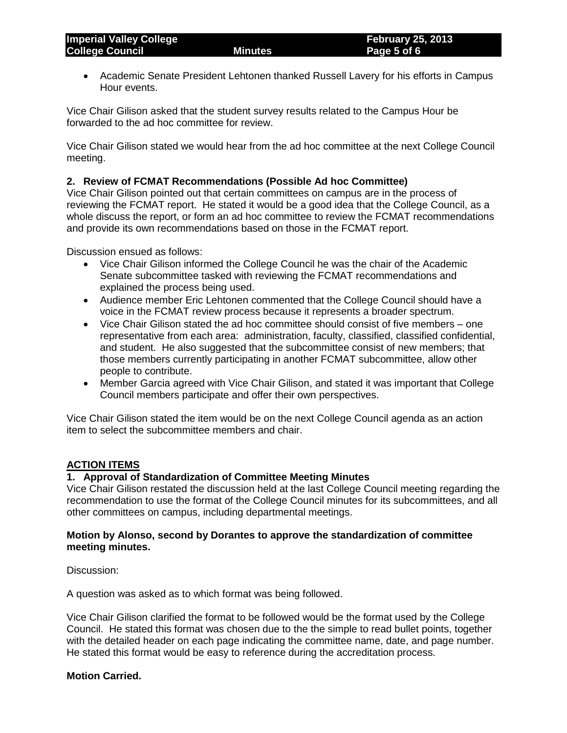Academic Senate President Lehtonen thanked Russell Lavery for his efforts in Campus Hour events.

Vice Chair Gilison asked that the student survey results related to the Campus Hour be forwarded to the ad hoc committee for review.

Vice Chair Gilison stated we would hear from the ad hoc committee at the next College Council meeting.

# **2. Review of FCMAT Recommendations (Possible Ad hoc Committee)**

Vice Chair Gilison pointed out that certain committees on campus are in the process of reviewing the FCMAT report. He stated it would be a good idea that the College Council, as a whole discuss the report, or form an ad hoc committee to review the FCMAT recommendations and provide its own recommendations based on those in the FCMAT report.

Discussion ensued as follows:

- Vice Chair Gilison informed the College Council he was the chair of the Academic Senate subcommittee tasked with reviewing the FCMAT recommendations and explained the process being used.
- Audience member Eric Lehtonen commented that the College Council should have a voice in the FCMAT review process because it represents a broader spectrum.
- Vice Chair Gilison stated the ad hoc committee should consist of five members one representative from each area: administration, faculty, classified, classified confidential, and student. He also suggested that the subcommittee consist of new members; that those members currently participating in another FCMAT subcommittee, allow other people to contribute.
- Member Garcia agreed with Vice Chair Gilison, and stated it was important that College Council members participate and offer their own perspectives.

Vice Chair Gilison stated the item would be on the next College Council agenda as an action item to select the subcommittee members and chair.

# **ACTION ITEMS**

# **1. Approval of Standardization of Committee Meeting Minutes**

Vice Chair Gilison restated the discussion held at the last College Council meeting regarding the recommendation to use the format of the College Council minutes for its subcommittees, and all other committees on campus, including departmental meetings.

#### **Motion by Alonso, second by Dorantes to approve the standardization of committee meeting minutes.**

Discussion:

A question was asked as to which format was being followed.

Vice Chair Gilison clarified the format to be followed would be the format used by the College Council. He stated this format was chosen due to the the simple to read bullet points, together with the detailed header on each page indicating the committee name, date, and page number. He stated this format would be easy to reference during the accreditation process.

# **Motion Carried.**